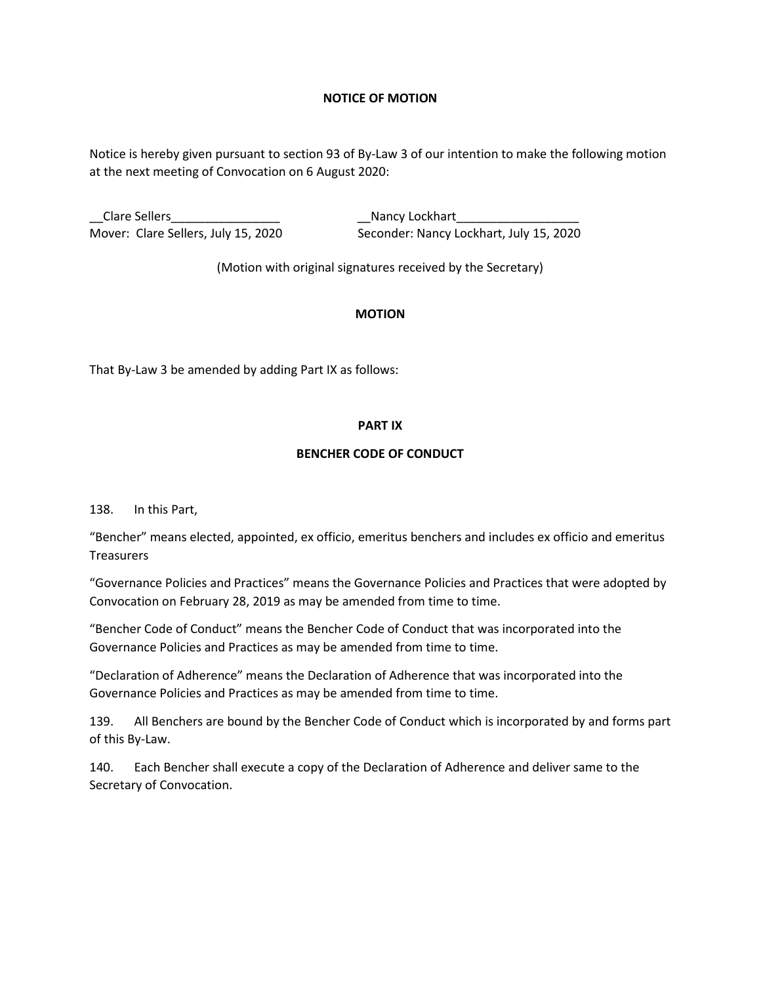## **NOTICE OF MOTION**

Notice is hereby given pursuant to section 93 of By-Law 3 of our intention to make the following motion at the next meeting of Convocation on 6 August 2020:

\_\_Clare Sellers\_\_\_\_\_\_\_\_\_\_\_\_\_\_\_\_ \_\_Nancy Lockhart\_\_\_\_\_\_\_\_\_\_\_\_\_\_\_\_\_\_ Mover: Clare Sellers, July 15, 2020 Seconder: Nancy Lockhart, July 15, 2020

(Motion with original signatures received by the Secretary)

## **MOTION**

That By-Law 3 be amended by adding Part IX as follows:

## **PART IX**

## **BENCHER CODE OF CONDUCT**

138. In this Part,

"Bencher" means elected, appointed, ex officio, emeritus benchers and includes ex officio and emeritus **Treasurers** 

"Governance Policies and Practices" means the Governance Policies and Practices that were adopted by Convocation on February 28, 2019 as may be amended from time to time.

"Bencher Code of Conduct" means the Bencher Code of Conduct that was incorporated into the Governance Policies and Practices as may be amended from time to time.

"Declaration of Adherence" means the Declaration of Adherence that was incorporated into the Governance Policies and Practices as may be amended from time to time.

139. All Benchers are bound by the Bencher Code of Conduct which is incorporated by and forms part of this By-Law.

140. Each Bencher shall execute a copy of the Declaration of Adherence and deliver same to the Secretary of Convocation.